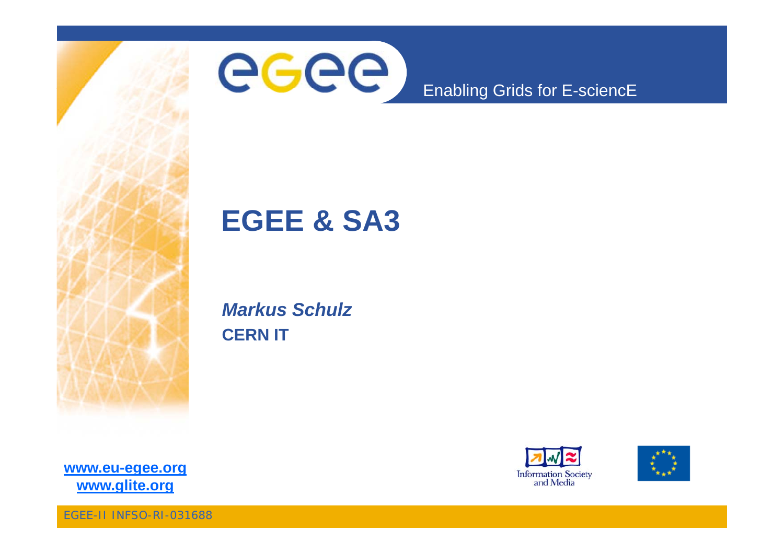



### Enabling Grids for E-sciencE

### **EGEE & SA3**

*Markus Schulz* **CERN IT**





**www eu egee org** www.glite.org

EGEE-II INFSO-RI-031688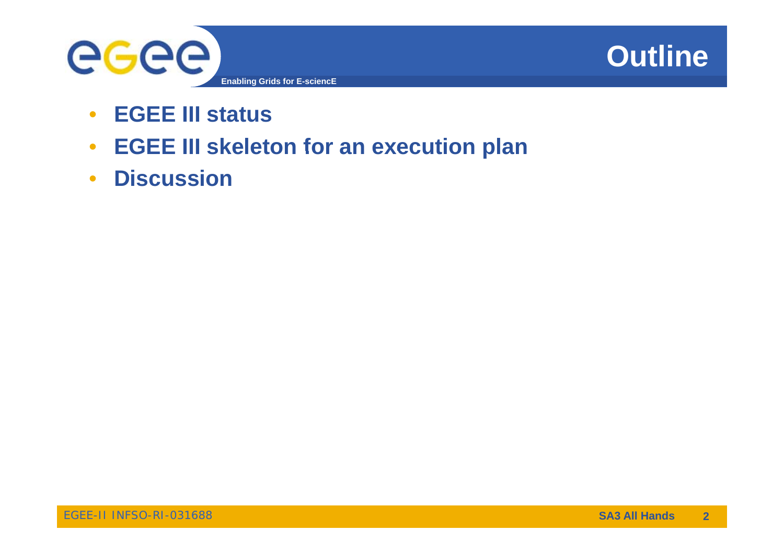



- $\bullet$ **EGEE III status**
- **EGEE III skeleton for an execution plan**
- **Discussion**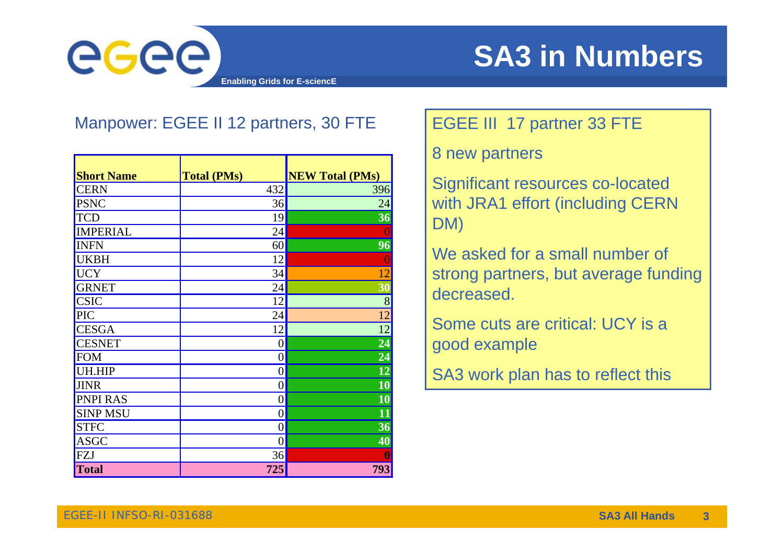

### Manpower: EGEE II 12 partners, 30 FTE **EGEE III 17 partner 33 FTE**

|                   |                    |                        | <u>U LIGW PALLIGN</u>  |
|-------------------|--------------------|------------------------|------------------------|
| <b>Short Name</b> | <b>Total (PMs)</b> | <b>NEW Total (PMs)</b> |                        |
| <b>CERN</b>       | 432                | 396                    | <b>Significant res</b> |
| <b>PSNC</b>       | 36                 | 24                     | with JRA1 effo         |
| <b>TCD</b>        | 19                 | 36                     | DM)                    |
| <b>IMPERIAL</b>   | 24                 |                        |                        |
| <b>INFN</b>       | 60                 | 96                     |                        |
| <b>UKBH</b>       | 12                 |                        | We asked for           |
| <b>UCY</b>        | 34                 | 12                     | strong partner         |
| <b>GRNET</b>      | 24                 | 30                     | decreased.             |
| <b>CSIC</b>       | 12                 | 8                      |                        |
| PIC               | 24                 | 12                     |                        |
| <b>CESGA</b>      | 12                 | 12                     | Some cuts are          |
| <b>CESNET</b>     | $\theta$           | 24                     | good example           |
| <b>FOM</b>        | $\theta$           | 24                     |                        |
| UH.HIP            | $\theta$           | 12                     | SA3 work plar          |
| <b>JINR</b>       | $\overline{0}$     | 10                     |                        |
| <b>PNPI RAS</b>   | $\overline{0}$     | $\overline{10}$        |                        |
| <b>SINP MSU</b>   | $\theta$           | 11                     |                        |
| <b>STFC</b>       | $\theta$           | 36                     |                        |
| <b>ASGC</b>       | $\overline{0}$     | 40                     |                        |
| FZJ               | 36                 |                        |                        |
| <b>Total</b>      | 725                | 793                    |                        |

8 new partners

Significant resources co-located with JRA1 effort (including CERN DM)

We asked for a small number of 2 Strong partners, but average funding decreased.

Some cuts are critical: UCY is a

SA3 work plan has to reflect this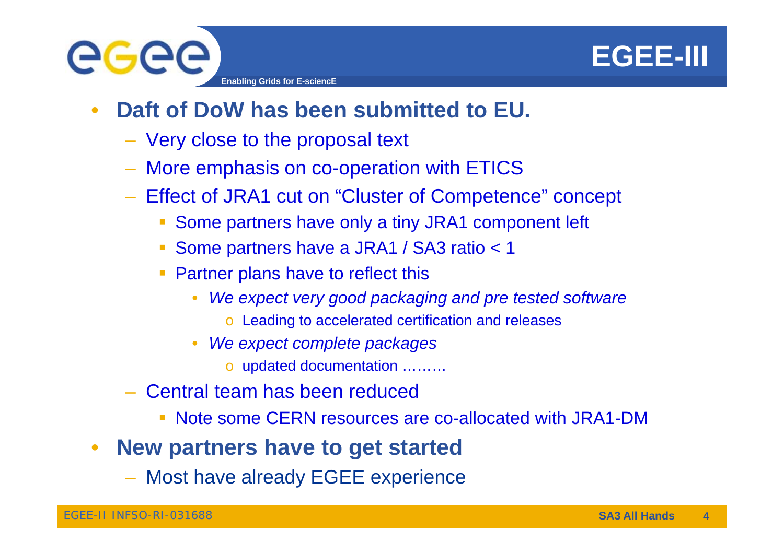

- • **Daft of DoW has been submitted to EU.** 
	- Very close to the proposal text
	- More emphasis on co-operation with ETICS
	- Effect of JRA1 cut on "Cluster of Competence" concept
		- **Some partners have only a tiny JRA1 component left**
		- Some partners have a JRA1 / SA3 ratio < 1
		- **Partner plans have to reflect this** 
			- • *We expect very good packaging and pre tested software*
				- o Leading to accelerated certification and releases
			- • *W t lt k We expect complete packages*
				- o updated documentation ………
	- – Central team has been reduced
		- Note some CERN resources are co-allocated with JRA1-DM
- $\bullet$  **New partners have to get started**
	- Most have already EGEE experience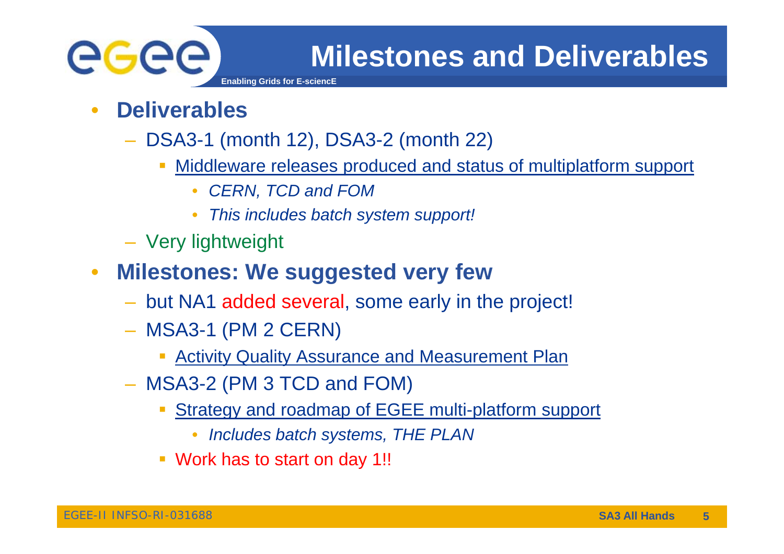

- • **Deliverables**
	- DSA3-1 (month 12), DSA3-2 (month 22)
		- Middleware releases produced and status of multiplatform support
			- $\bullet$ *CERN, TCD and FOM*
			- •*This includes batch system support!*
	- Very lightweight
- $\bullet$  **Milestones: We suggested very few**
	- but NA1 added several, some early in the project!
	- **MSA3-1 (PM 2 CERN)** 
		- $\overline{\phantom{a}}$ **Activity Quality Assurance and Measurement Plan**
	- MSA3-2 (PM 3 TCD and FOM)
		- **Strategy and roadmap of EGEE multi-platform support** 
			- •*Includes batch systems, THE PLAN*
		- Work has to start on day 1!!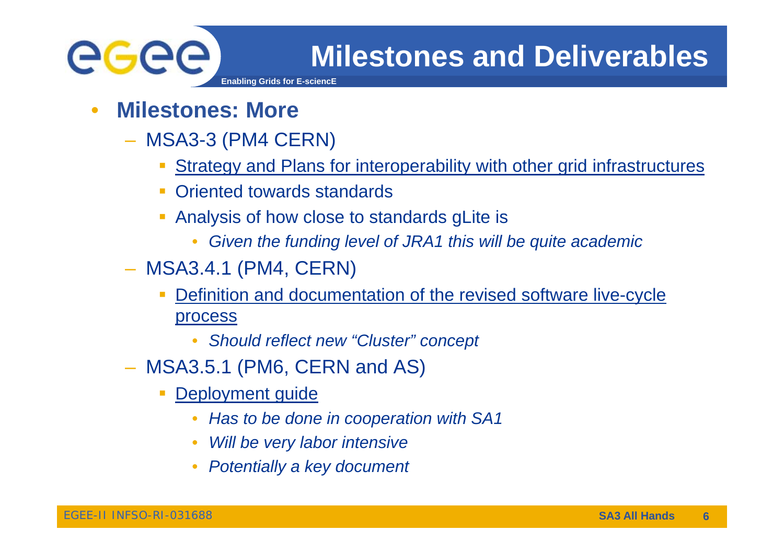

- • **Milestones: More**
	- MSA3-3 (PM4 CERN)
		- Strategy and Plans for interoperability with other grid infrastructures
		- **Oriented towards standards**
		- Analysis of how close to standards gLite is
			- •*Given the funding level of JRA1 this will be quite academic*
	- MSA3.4.1 (PM4, CERN)
		- $\Box$  Definition and documentation of the revised software live-cycle process
			- •*Should reflect new "Cluster Cluster" concept*
	- MSA3.5.1 (PM6, CERN and AS)
		- $\overline{\mathbb{R}^n}$ Deployment guide
			- •*Has to be done in cooperation with SA1*
			- •*Will be very labor intensive*
			- •*Potentially <sup>a</sup> key document*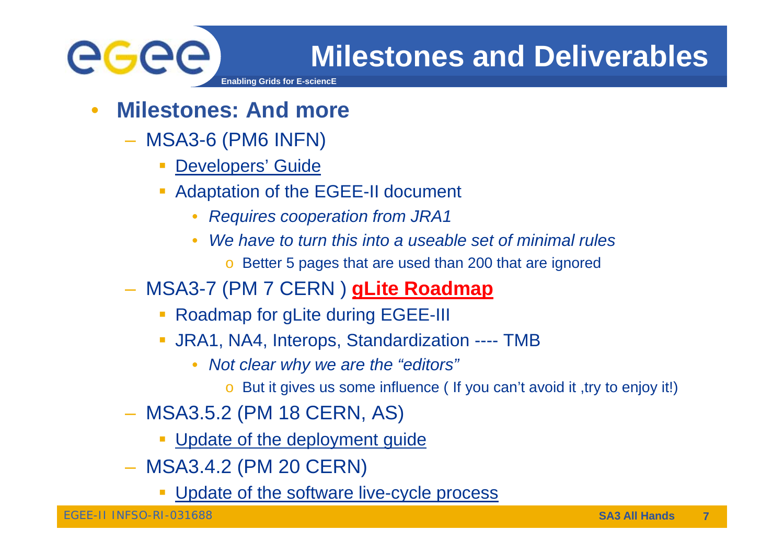

•

**Milestones and Deliverables**

- **Milestones: And more**
- MSA3-6 (PM6 INFN)
	- $\overline{\phantom{a}}$ Developers' Guide
	- **Adaptation of the EGEE-II document** 
		- •*Requires cooperation from JRA1*
		- • *We have to turn this into a useable set of minimal rules*
			- o Better 5 pages that are used than 200 that are ignored
- MSA3-7 (PM 7 CERN ) **gLite Roadmap**
	- **Roadmap for gLite during EGEE-III**
	- **JRA1, NA4, Interops, Standardization ---- TMB** 
		- • *Not clear why we are the "editors"*
			- o But it gives us some influence ( If you can't avoid it ,try to enjoy it!)
- MSA3.5.2 (PM 18 CERN, AS)
	- **Update of the deployment guide**
- MSA3 4 2 (PM 20 CERN) – MSA3.4.2
	- π Update of the software live-cycle process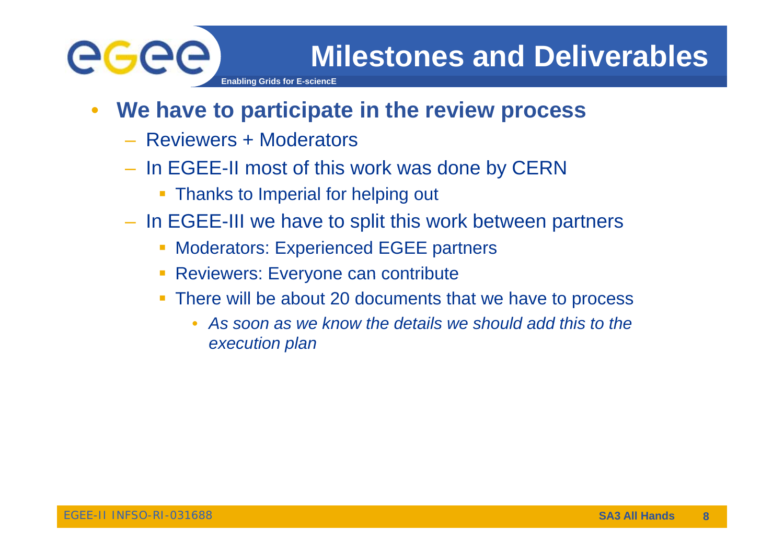

- **Enabling Grids for F-**
- $\bullet$  **We have to participate in the review process**
	- Reviewers + Moderators
	- In EGEE-II most of this work was done by CERN
		- **Thanks to Imperial for helping out**
	- In EGEE-III we have to split this work between partners
		- **Moderators: Experienced EGEE partners**
		- **Reviewers: Everyone can contribute**
		- $\blacksquare$  There will be about 20 documents that we have to process
			- •As soon as we know the details we should add this to the *execution plan*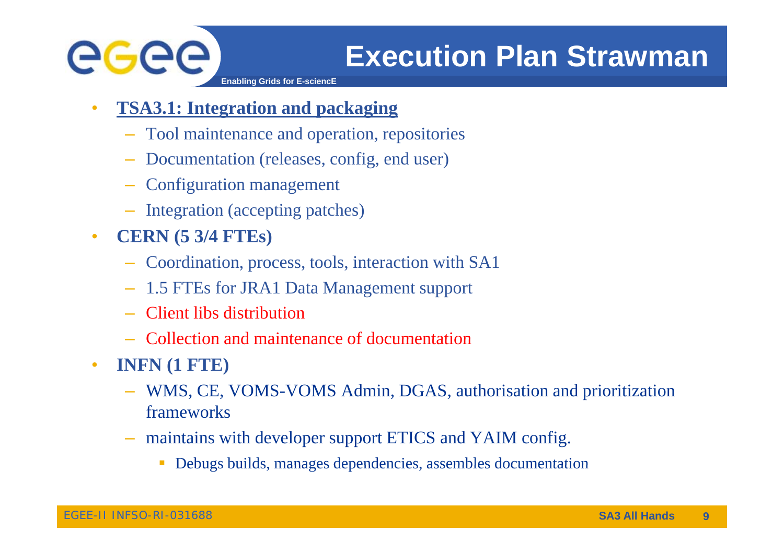

- • **TSA3.1: Integration and packaging**
	- Tool maintenance and operation, repositories
	- Documentation (releases, config, end user)
	- Configuration management
	- Integration (accepting patches)
- $\bullet$  **CERN (5 3/4 FTEs)**
	- Coordination, process, tools, interaction with SA1
	- 1.5 FTEs for JRA1 Data Management support
	- Client libs distribution
	- Collection and maintenance of documentation Collection
- • **INFN (1 FTE)**
	- WMS, CE, VOMS-VOMS Admin, DGAS, authorisation and prioritization frameworks
	- maintains with developer support ETICS and YAIM config.
		- Debugs builds, manages dependencies, assembles documentation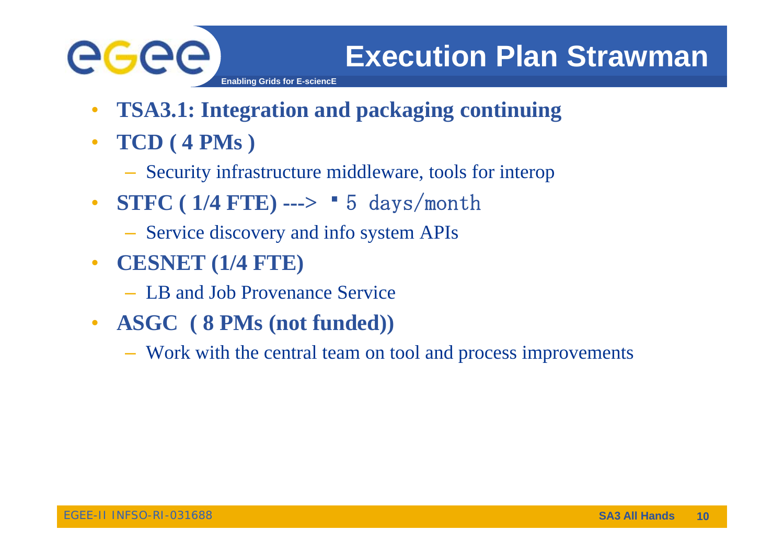

- $\bullet$ **TSA3.1: Integration and packaging continuing**
- **TCD ( ) 4 PMs )**
	- Security infrastructure middleware, tools for interop
- **STFC** (1/4 FTE) ---> **•** 5 days/month
	- Service discovery and info system APIs
- $\bullet$  **CESNET (1/4 FTE)** 
	- LB and Job Provenance Service
- **ASGC ( 8 PMs (not funded))**
	- Work with the central team on tool and process improvements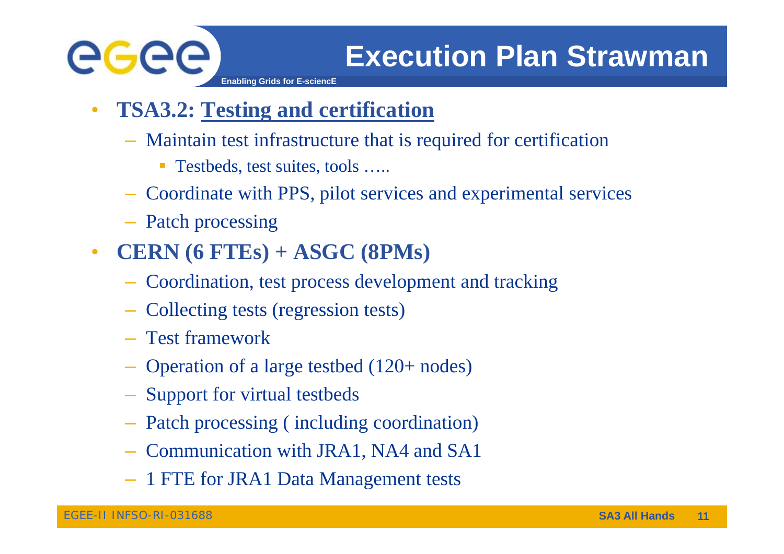

- **Enabling Grids for E-sciencE**
- $\bullet$  **TSA3.2: Testing and certification**
	- Maintain test infrastructure that is required for certification
		- $\mathcal{L}_{\mathcal{A}}$ Testbeds, test suites, tools …..
	- Coordinate with PPS, pilot services and experimental services
	- Patch processing
- $\bullet$  **CERN (6 FTEs) + ASGC (8PMs)**
	- Coordination, test process development and tracking
	- Collecting tests (regression tests)
	- Test framework
	- Operation of a large testbed (120+ nodes)
	- Support for virtual testbeds
	- Patch processing ( including coordination)
	- Communication with JRA1, NA4 and SA1
	- 1 FTE for JRA1 Data Management tests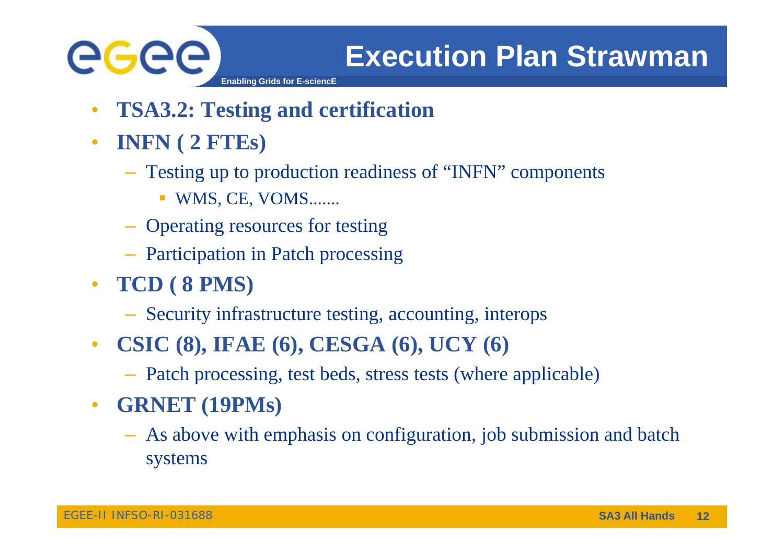

- 
- •**TSA3.2: Testing and certification**
- $\bullet$  **INFN ( ) 2 FTEs)**
	- Testing up to production readiness of "INFN" components
		- WMS, CE, VOMS.......
	- Operating resources for testing
	- Participation in Patch processing
- **TC ( 8 S) CD 8 PMS)**
	- Security infrastructure testing, accounting, interops
- $\bullet$  **CSIC (8) IFAE (6) CESGA (6) UCY (6) (8), (6), (6),** 
	- Patch processing, test beds, stress tests (where applicable)
- $\bullet$  **GRNET (19PMs)**
	- As above with emphasis on configuration, job submission and batch systems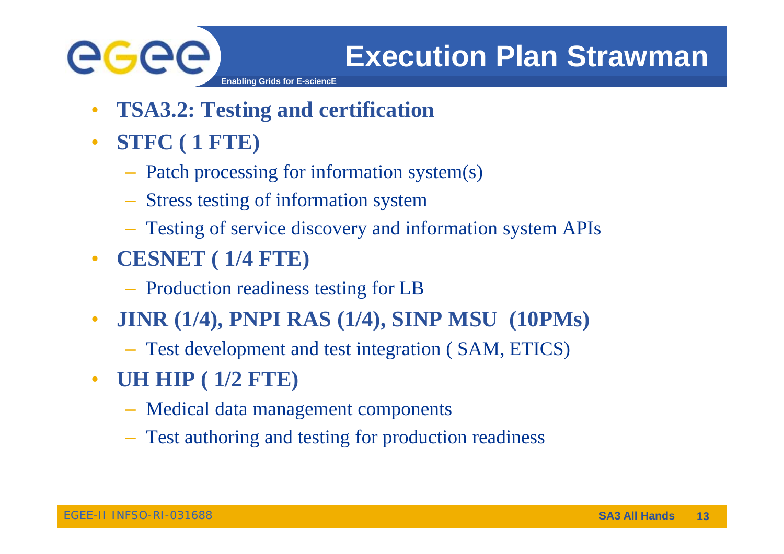

- •**TSA3.2: Testing and certification**
- $\bullet$  **STFC ( ) 1 FTE**
	- Patch processing for information system(s)
	- Stress testing of information system
	- Testing of service discovery and information system APIs
- $\bullet$  **CESNET ( 1/4 FTE)**
	- Production readiness testing for LB
- $\bullet$  **JINR (1/4), PNPI RAS (1/4), SINP MSU (10PMs)**
	- Test development and test integration ( SAM, ETICS)
- $\bullet$  **UH HIP ( 1/2 FTE)**
	- Medical data management components
	- Test authoring and testing for production readiness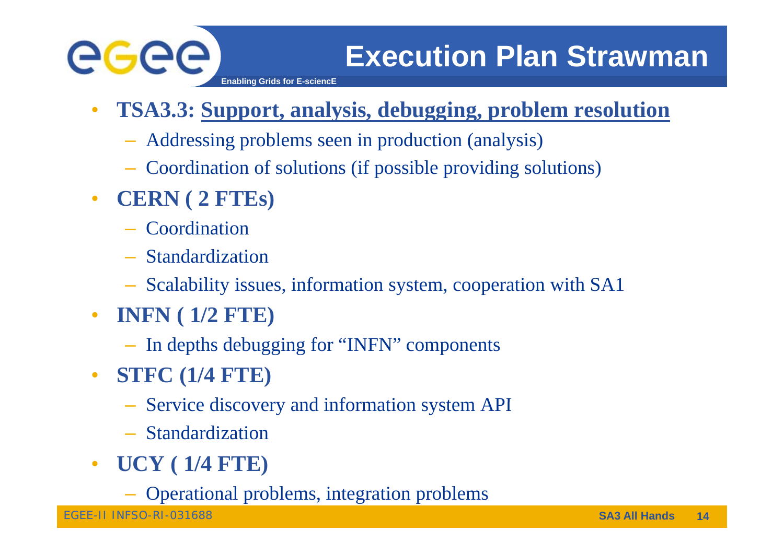

- • **TSA3.3: Support, analysis, debugging, problem resolution**
	- Addressing problems seen in production (analysis)
	- Coordination of solutions (if possible providing solutions)
- **CERN ( 2 FTEs)** 
	- Coordination
	- Standardization
	- Scalability issues, information system, cooperation with SA1
- **INFN ( 1/2 FTE)**
	- In depths debugging for "INFN" components
- $\bullet$  **STFC (1/4 FTE)**
	- Service discovery and information system API
	- Standardization
- $\bullet$  **UCY ( 1/4 FTE) FTE)**
	- Operational problems, integration problems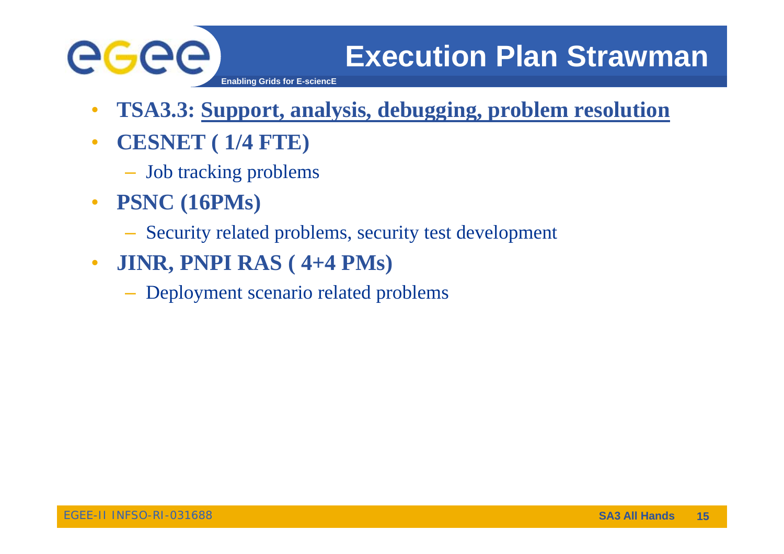

- $\bullet$ **TSA3.3: Support, analysis, debugging, problem resolution**
- $\bullet$  **CESNET ( ) 1/4 FTE)**
	- Job tracking problems
- $\bullet$  **PSNC ( ) 16PMs**
	- Security related problems, security test development
- $\bullet$  **JINR, PNPI RAS ( 4+4 PMs)** 
	- Deployment scenario related problems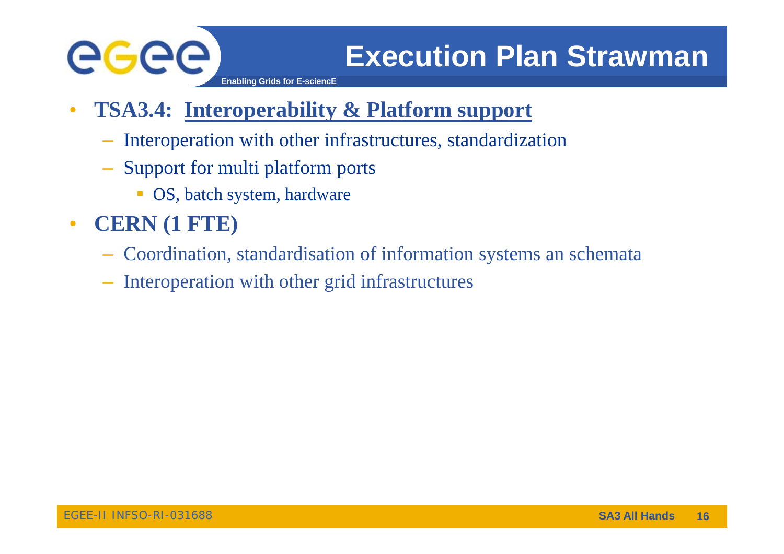

**Enabling Grids for E-sciencE**

### •**TSA3.4: Interoperability & Platform support**

- Interoperation with other infrastructures, standardization
- Support for multi platform ports
	- **OS**, batch system, hardware
- • **CERN (1 FTE)**
	- Coordination, standardisation of information systems an schemata
	- Interoperation with other grid infrastructures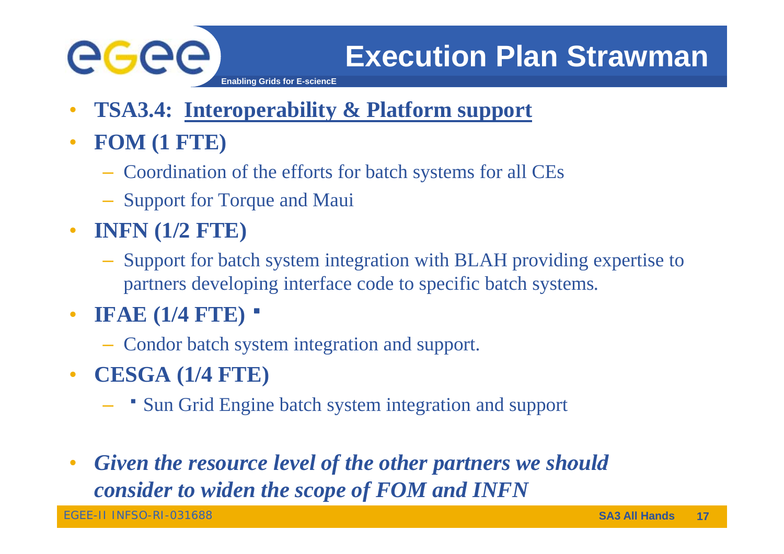

**Enabling Grids for E-sciencE**

- •**TSA3.4: Interoperability & Platform support**
- $\bullet$  **FOM ( ) 1 FTE**
	- Coordination of the efforts for batch systems for all CEs
	- Support for Torque and Maui
- **INFN (1/2 FTE)**
	- Support for batch system integration with BLAH providing expertise to partners developing interface code to specific batch systems.
- • **IFAE (1/4 FTE)**
	- Condor batch system integration and support.
- • **CESGA (1/4 FTE)**
	- Sun Grid Engine batch system integration and support
- • *Given the resource level of the other partners we should the consider to widen the scope of FOM and INFN*

EGEE-II INFSO-RI-031688 **SA3 All Hands**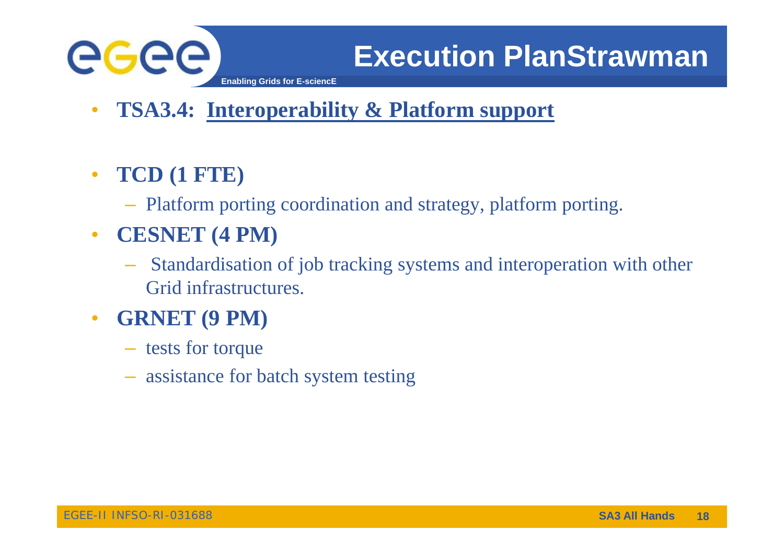

- $\bullet$ **TSA3.4: Interoperability & Platform support**
- • **TCD (1 FTE)**
	- Platform porting coordination and strategy, platform porting.
- $\bullet$  **CESNET (4 PM)**
	- – Standardisation of job tracking systems and interoperation with other Grid infrastructures.
- $\bullet$  **GRNET (9 PM)** 
	- tests for torque
	- assistance for batch system testing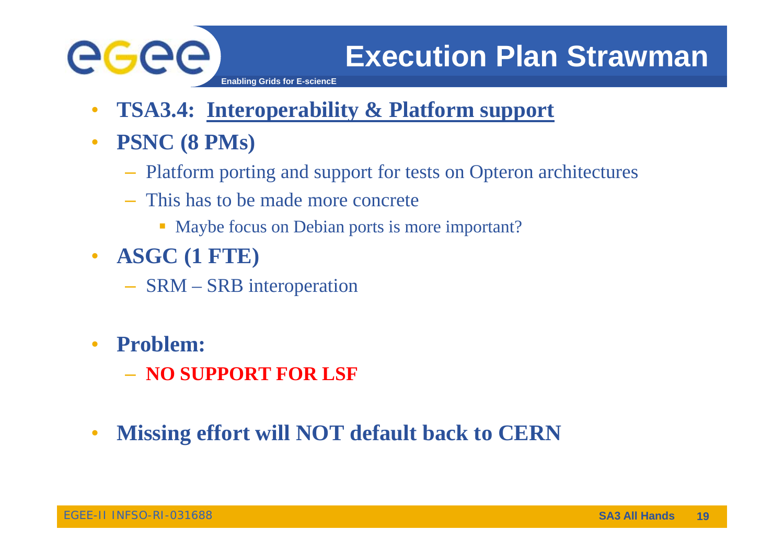

- **Enabling Grids for E-sciencE**
- •**TSA3.4: Interoperability & Platform support**
- $\bullet$  **PSNC ( ) 8 PMs**
	- Platform porting and support for tests on Opteron architectures
	- This has to be made more concrete
		- Maybe focus on Debian ports is more important?
- $\bullet$  **ASGC (1 FTE)**
	- SRM SRB interoperation
- •**•** Problem:
	- **NO SUPPORT FOR LSF**
- $\bullet$ **Missing effort will NOT default back to CERN**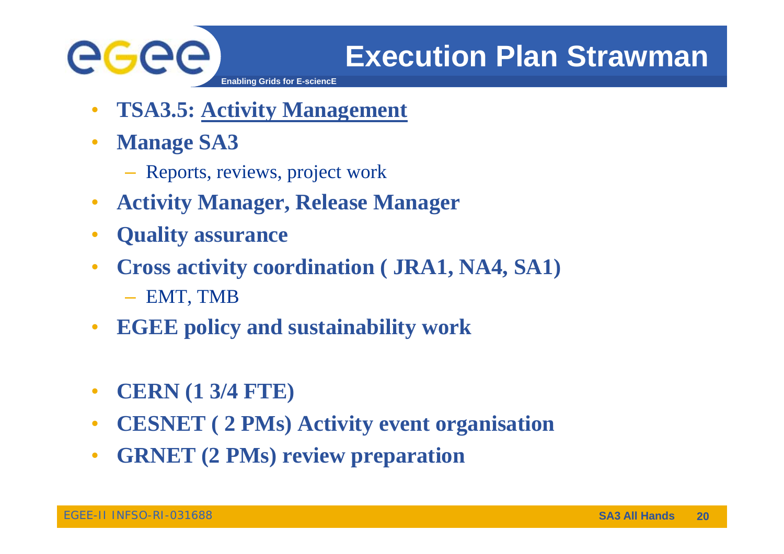

- •**TSA3.5: Activity Management**
- $\bullet$  **Manage SA3**
	- Reports, reviews, project work
- $\bullet$ **Activity Manager, Release Manager**
- $\bullet$ **Quality assurance**
- $\bullet$  **Cross activity ( , ,) coordination ( JRA1, NA4, SA1)**
	- EMT, TMB
- $\bullet$ **EGEE policy and sustainability work**
- $\bullet$ **CERN ( ) 1 3/4 FTE)**
- $\bullet$ **CESNET ( 2 PMs) Activity event organisation**
- $\bullet$ **•** GRNET (2 PMs) review preparation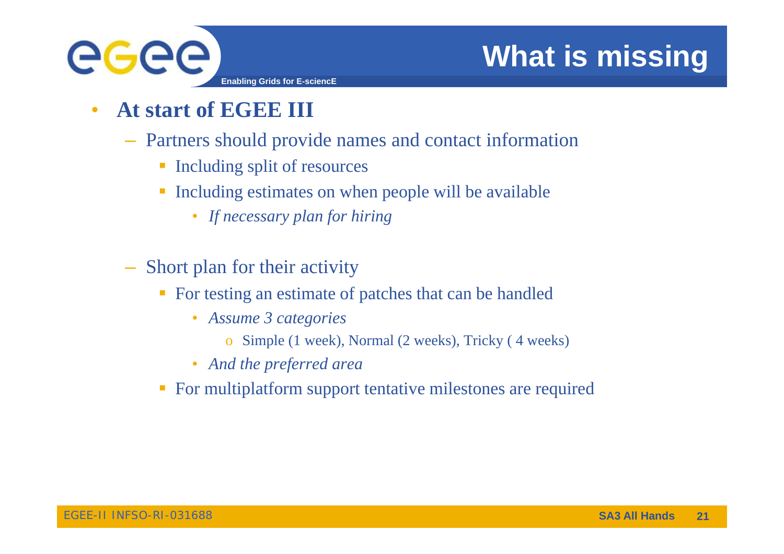

# **What is missing**

- $\bullet$  **At start of EGEE III**
	- Partners should provide names and contact information
		- **Including split of resources**
		- **Including estimates on when people will be available** 
			- *If l f hi i If necessary plan for hiring*
	- –Short plan for their activity
		- **For testing an estimate of patches that can be handled** 
			- *Assume 3 categories* 
				- o Simple (1 week), Normal (2 weeks), Tricky (4 weeks)
			- *And the preferred area*
		- **For multiplatform support tentative milestones are required**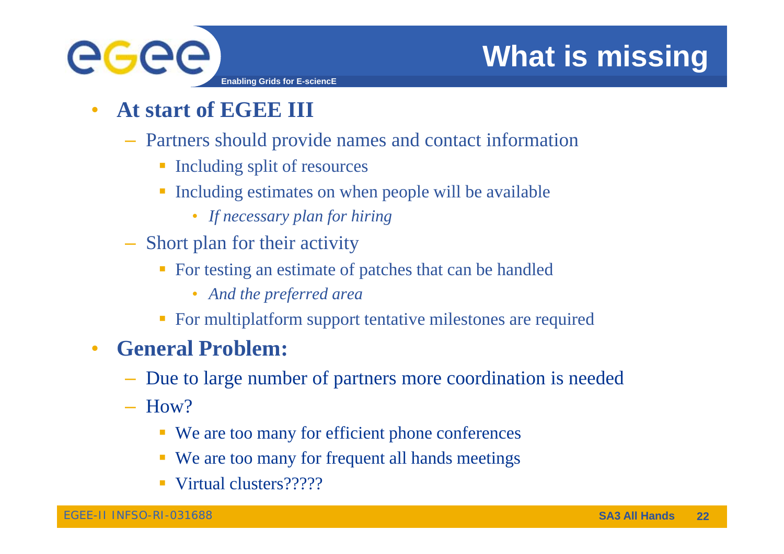

•**At start of EGEE III**

GGGG

- Partners should provide names and contact information
	- **Including split of resources**

**Enabling Grids for E-sciencE**

- **Including estimates on when people will be available** 
	- *If l f hi i If necessary plan for hiring*
- Short plan for their activity
	- For testing an estimate of patches that can be handled
		- *And the preferred area*
	- **For multiplatform support tentative milestones are required**

### $\bullet$ **General Problem:**

- Due to large number of partners more coordination is needed
- $-$  How?
	- We are too many for efficient phone conferences
	- We are too many for frequent all hands meetings
	- Virtual clusters?????